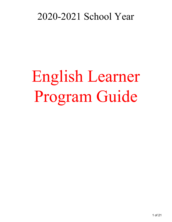## 2020-2021 School Year

# English Learner Program Guide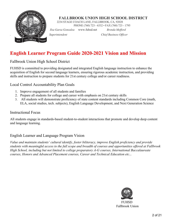

#### **FALLBROOK UNION HIGH SCHOOL DISTRICT**

2234 STAGE COACH LANE, FALLBROOK, CA, 92028

PHONE (760) 723 - 6332 • FAX (760) 723 - 1795

*Ilsa Garza Gonzalea* [www.fuhsd.net](http://www.fuhsd.net/) *Brenda Mefford*

*. Superintendent Chief Business Officer*

## <span id="page-1-0"></span>**English Learner Program Guide 2020-2021 Vision and Mission**

Fallbrook Union High School District

FUHSD is committed to providing designated and integrated English language instruction to enhance the acquisition of English for second language learners, ensuring rigorous academic instruction, and providing skills and instruction to prepare students for 21st century college and/or career readiness.

Local Control Accountability Plan Goals

- 1. Improve engagement of all students and families
- 2. Prepare all students for college and career with emphasis on 21st century skills
- 3. All students will demonstrate proficiency of state content standards including Common Core (math, ELA, social studies, tech. subjects), English Language Development, and Next Generation Science

#### Instructional Focus

All students engage in standards-based student-to-student interactions that promote and develop deep content and language learning.

#### English Learner and Language Program Vision

*Value and maintain students' cultural identify, foster biliteracy, improve English proficiency and provide students with meaningful access to the full scope and breadth of courses and opportunities offered at Fallbrook High School, including but not limited to college preparatory A-G courses, International Baccalaureate courses, Honors and Advanced Placement courses, Career and Technical Education etc...*



**FUHSD** Fallbrook Union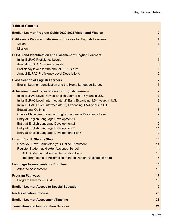| <b>Table of Contents</b>                                                 |                         |
|--------------------------------------------------------------------------|-------------------------|
| <b>English Learner Program Guide 2020-2021 Vision and Mission</b>        | $\overline{2}$          |
| <b>California's Vision and Mission of Success for English Learners</b>   | $\overline{\mathbf{4}}$ |
| <b>Vision</b>                                                            | $\overline{4}$          |
| <b>Mission</b>                                                           | $\overline{4}$          |
| <b>ELPAC and Identification and Placement of English Learners</b>        | $5\phantom{1}$          |
| <b>Initial ELPAC Proficiency Levels</b>                                  | 5                       |
| <b>Annual ELPAC Proficiency Levels</b>                                   | $6\phantom{1}$          |
| Proficiency levels for the annual ELPAC are:                             | $6\phantom{1}6$         |
| <b>Annual ELPAC Proficiency Level Descriptions</b>                       | $6\phantom{1}$          |
| <b>Classification of English Learners</b>                                | $\overline{7}$          |
| English Learner Identification and the Home Language Survey              | $\overline{7}$          |
| <b>Achievement and Expectations for English Learners</b>                 | $\overline{7}$          |
| Initial ELPAC Level Novice English Learner 0-1.5 years in U.S.           | $\overline{7}$          |
| Initial ELPAC Level Intermediate (2) Early Expanding 1.5-4 years in U.S. | $\boldsymbol{8}$        |
| Initial ELPAC Level: Intermediate (3) Expanding 1.5-4 years in U.S.      | 8                       |
| <b>Educational Optimism</b>                                              | 8                       |
| Course Placement Based on English Language Proficiency Level             | 9                       |
| Entry at English Language Development 1                                  | 9                       |
| Entry at English Language Development 2                                  | 10                      |
| Entry at English Language Development 3                                  | 11                      |
| Entry at English Language Development 4 or 5                             | 12                      |
| <b>How to Enroll: Step by Step</b>                                       | 13                      |
| Once you Have Completed your Online Enrollment                           | 14                      |
| Register Student at His/Her Assigned School                              | 14                      |
| ALL Students- In-Person Registration Faire                               | 15                      |
| Important Items to Accomplish at the In-Person Registration Faire        | 15                      |
| <b>Language Assessments for Enrollment</b>                               | 16                      |
| <b>After the Assessment</b>                                              | 16                      |
| <b>Program Pathways</b>                                                  | 17                      |
| <b>Program Placement Guide</b>                                           | 18                      |
| <b>English Learner Access to Special Education</b>                       | 19                      |
| <b>Reclassification Process</b>                                          | 20                      |
| <b>English Learner Assessment Timeline</b>                               | 21                      |
| <b>Translation and Interpretation Services</b>                           | 21                      |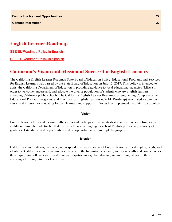## **English Learner Roadmap**

[SBE EL Roadmap Policy in English](https://www.cde.ca.gov/sp/el/rm/elroadmappolicy.asp)

[SBE EL Roadmap Policy in Spanish](https://www.cde.ca.gov/sp/el/rm/documents/elpolicyspan.docx)

## <span id="page-3-0"></span>**California's Vision and Mission of Success for English Learners**

The California English Learner Roadmap State Board of Education Policy: Educational Programs and Services for English Learners was passed by the State Board of Education on July 12, 2017. This policy is intended to assist the California Department of Education in providing guidance to local educational agencies (LEAs) in order to welcome, understand, and educate the diverse population of students who are English learners attending California public schools. The California English Learner Roadmap: Strengthening Comprehensive Educational Policies, Programs, and Practices for English Learners (CA EL Roadmap) articulated a common vision and mission for educating English learners and supports LEAs as they implement the State Board policy..

#### **Vision**

<span id="page-3-1"></span>English learners fully and meaningfully access and participate in a twenty-first century education from early childhood through grade twelve that results in their attaining high levels of English proficiency, mastery of grade level standards, and opportunities to develop proficiency in multiple languages.

#### **Mission**

<span id="page-3-2"></span>California schools affirm, welcome, and respond to a diverse range of English learner (EL) strengths, needs, and identities. California schools prepare graduates with the linguistic, academic, and social skills and competencies they require for college, career, and civic participation in a global, diverse, and multilingual world, thus ensuring a thriving future for California.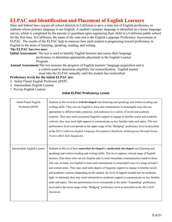## <span id="page-4-0"></span>**ELPAC and Identification and Placement of English Learners**

State and federal laws require all school districts in California to give a state test of English proficiency to students whose primary language is not English. A student's primary language is identified on a home language survey, which is completed by the parents or guardians upon registering their child in a California public school for the first time. In California, the name of the state test is the English Language Proficiency Assessment or ELPAC. The results of the ELPAC help to measure how each student is progressing toward proficiency in English in the areas of listening, speaking, reading, and writing.

#### **The ELPAC has two uses:**

**Initial Assessment:** The test is used to identify English learners and assess their language proficiency to determine appropriate placement in the English Learner Program.

**Annual Assessment:**The test assesses the progress of English learners' language acquisition and is a criteria used to determine eligibility for reclassification. English learner must take the ELPAC annually until the student has reclassified.

#### **Proficiency levels for the initial ELPAC are:**

- 3. Initial Fluent English Proficient (IFEP)
- 2. Intermediate English Learner
- <span id="page-4-1"></span>1. Novice English Learner

#### **Initial ELPAC Proficiency Levels**

| <b>Initial Fluent English</b><br>Proficient (IFEP) | Students at this level have well developed oral (listening and speaking) and written (reading and<br>writing) skills. They can use English to learn and communicate in meaningful ways that are<br>appropriate to different tasks, purposes, and audiences in a variety of social and academic<br>contexts. They may need occasional linguistic support to engage in familiar social and academic<br>contexts; they may need light support to communicate on less familiar tasks and topics. This test<br>performance level corresponds to the upper range of the "Bridging" proficiency level as described<br>in the 2012 California English Language Development Standards, Kindergarten Through Grade<br>Twelve (2012 ELD Standards).                                                                                                                                                                                     |
|----------------------------------------------------|------------------------------------------------------------------------------------------------------------------------------------------------------------------------------------------------------------------------------------------------------------------------------------------------------------------------------------------------------------------------------------------------------------------------------------------------------------------------------------------------------------------------------------------------------------------------------------------------------------------------------------------------------------------------------------------------------------------------------------------------------------------------------------------------------------------------------------------------------------------------------------------------------------------------------|
| Intermediate English Learner                       | Students at this level have somewhat developed to moderately developed oral (listening and<br>speaking) and written (reading and writing) skills. This level captures a broad range of English<br>learners, from those who can use English only to meet immediate communication needs to those<br>who can, at times, use English to learn and communicate in meaningful ways in a range of topics<br>and content areas. They may need some degree of linguistic support to engage in familiar social<br>and academic contexts (depending on the student, the level of support needed may be moderate,<br>light, or minimal); they may need substantial-to-moderate support to communicate on less familiar<br>tasks and topics. This test performance level corresponds to the entire "Expanding" proficiency<br>level and to the lower range of the "Bridging" proficiency level as described in the 2012 ELD<br>Standards. |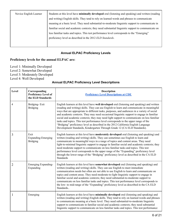| Novice English Learner | Students at this level have minimally developed oral (listening and speaking) and written (reading |
|------------------------|----------------------------------------------------------------------------------------------------|
|                        | and writing) English skills. They tend to rely on learned words and phrases to communicate         |
|                        | meaning at a basic level. They need substantial-to-moderate linguistic support to communicate in   |
|                        | familiar social and academic contexts; they need substantial linguistic support to communicate on  |
|                        | less familiar tasks and topics. This test performance level corresponds to the "Emerging"          |
|                        | proficiency level as described in the 2012 ELD Standards.                                          |
|                        |                                                                                                    |
|                        |                                                                                                    |

#### **Annual ELPAC Proficiency Levels**

#### <span id="page-5-1"></span><span id="page-5-0"></span>**Proficiency levels for the annual ELPAC are:**

- Level 1: Minimally Developed
- Level 2: Somewhat Developed
- Level 3: Moderately Developed
- <span id="page-5-2"></span>Level 4: Well Developed

#### **Annual ELPAC Proficiency Level Descriptions**

| Level          | Corresponding<br><b>Proficiency Level of</b><br>the ELD Standards | <b>Description</b><br><b>Proficiency Level Descriptions at CDE</b>                                                                                                                                                                                                                                                                                                                                                                                                                                                                                                                                                                                                                                                                         |
|----------------|-------------------------------------------------------------------|--------------------------------------------------------------------------------------------------------------------------------------------------------------------------------------------------------------------------------------------------------------------------------------------------------------------------------------------------------------------------------------------------------------------------------------------------------------------------------------------------------------------------------------------------------------------------------------------------------------------------------------------------------------------------------------------------------------------------------------------|
| 4              | Bridging-Exit<br><b>Bridging</b>                                  | English learners at this level have well developed oral (listening and speaking) and written<br>(reading and writing) skills. They can use English to learn and communicate in meaningful<br>ways that are appropriate to different tasks, purposes, and audiences in a variety of social<br>and academic contexts. They may need occasional linguistic support to engage in familiar<br>social and academic contexts; they may need light support to communicate on less familiar<br>tasks and topics. This test performance level corresponds to the upper range of the<br>"Bridging" proficiency level as described in the 2012 California English Language<br>Development Standards, Kindergarten Through Grade 12 (CA ELD Standards). |
| 3              | Exit<br><b>Expanding-Emerging</b><br><b>Bridging</b>              | English learners at this level have <b>moderately developed</b> oral (listening and speaking) and<br>written (reading and writing) skills. They can sometimes use English to learn and<br>communicate in meaningful ways in a range of topics and content areas. They need<br>light-to-minimal linguistic support to engage in familiar social and academic contexts; they<br>need moderate support to communicate on less familiar tasks and topics. This test<br>performance level corresponds to the upper range of the "Expanding" proficiency level<br>through the lower range of the "Bridging" proficiency level as described in the CA ELD<br><b>Standards</b>                                                                     |
| $\overline{2}$ | Emerging Expanding-<br>Expanding                                  | English learners at this level have somewhat developed oral (listening and speaking) and<br>written (reading and writing) skills. They can use English to meet immediate<br>communication needs but often are not able to use English to learn and communicate on<br>topics and content areas. They need moderate-to-light linguistic support to engage in<br>familiar social and academic contexts; they need substantial-to-moderate support to<br>communicate on less familiar tasks and topics. This test performance level corresponds to<br>the low- to mid-range of the "Expanding" proficiency level as described in the CA ELD<br>Standards                                                                                       |
| 1              | Emerging                                                          | English learners at this level have minimally developed oral (listening and speaking) and<br>written (reading and writing) English skills. They tend to rely on learned words and phrases<br>to communicate meaning at a basic level. They need substantial-to-moderate linguistic<br>support to communicate in familiar social and academic contexts; they need substantial<br>linguistic support to communicate on less familiar tasks and topics. This test performance                                                                                                                                                                                                                                                                 |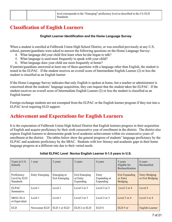## <span id="page-6-1"></span><span id="page-6-0"></span>**Classification of English Learners**

#### **English Learner Identification and the Home Language Survey**

When a student is enrolled at Fallbrook Union High School District, or was enrolled previously at any U.S. school, parents/guardians were asked to answer the following questions on the Home Language Survey:

- 4. What language did your child first learn when he/she began to talk?
- 5. What language is used most frequently to speak with your child?
- 6. What language does your child use most frequently at home?

If parents/guardians answered at least one of these questions with a language other than English, the student is tested in the ELPAC. If the student receives an overall score of Intermediate English Learner (2) or less the student is classified as an English learner

If the Home Language Survey indicates that only English is spoken at home, but a teacher or administrator is concerned about the students' language acquisition, they can request that the student takes the ELPAC. If the student receives an overall score of Intermediate English Learner (2) or less the student is classified as an English learner

Foreign exchange students are not exempted from the ELPAC or the English learner program if they test into a ELPAC level requiring ELD support.

## <span id="page-6-2"></span>**Achievement and Expectations for English Learners**

It is the expectation of Fallbrook Union High School District that English learners progress in their acquisition of English and acquire proficiency by their sixth consecutive year of enrollment in the district. The district also expects English learners to demonstrate grade level academic achievement within six consecutive years of enrollment at the district. The tables below show the general progress of students' language proficiency by the ELPAC and academic proficiency by the SBAC. Students with low literacy and academic gaps in their home language progress at a different rate due to their varied needs.

<span id="page-6-3"></span>

| Years in U.S.<br><b>Schools</b>                 | 1 year                | 2 years                      | 3 years                                | 4 years                            | 5 years<br>Eligible for<br>Reclassification          | 6 years<br>Reclassified                   |
|-------------------------------------------------|-----------------------|------------------------------|----------------------------------------|------------------------------------|------------------------------------------------------|-------------------------------------------|
| Proficiency<br>Level by ELD<br><b>Standards</b> | <b>Entry Emerging</b> | Emerging or<br>Exit Emerging | Exit Emerging<br>or Entry<br>Expanding | Entry<br>Expanding or<br>Expanding | <b>Exit Expanding</b><br>or Entry<br><b>Bridging</b> | <b>Entry Bridging</b><br>or Exit Bridging |
| <b>ELPAC</b><br>Summative                       | Level 1               | Level 1                      | Level 2 or $3$                         | Level 2 or 3                       | Level 3 or 4                                         | Level 4                                   |
| SBAC-ELA<br>or Equivalent                       | Level 1               | Level 1                      | Level 2 or $3$                         | Level 2 or 3                       | Level 3 or 4                                         | Level 3 or 4                              |
| <b>ELD</b>                                      | Newcomer ELD          | $ELD 1$ or $ELD$             | $ELD 2$ or $ELD$                       | ELD4                               | ELD 5 or                                             | <b>English Learner</b>                    |

#### **Initial ELPAC Level Novice English Learner 0-1.5 years in U.S.**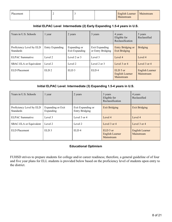| Placement |  |  | English Learner | Mainstream |
|-----------|--|--|-----------------|------------|
|           |  |  | Mainstream      |            |

#### **Initial ELPAC Level Intermediate (2) Early Expanding 1.5-4 years in U.S.**

<span id="page-7-0"></span>

| Years in U.S. Schools                        | 1 year           | 2 years                        | 3 years                             | 4 years<br>Eligible for<br>Reclassification | 5 years<br>Reclassified       |
|----------------------------------------------|------------------|--------------------------------|-------------------------------------|---------------------------------------------|-------------------------------|
| Proficiency Level by ELD<br><b>Standards</b> | Entry Expanding  | Expanding or<br>Exit Expanding | Exit Expanding<br>or Entry Bridging | Entry Bridging or<br><b>Exit Bridging</b>   | <b>Bridging</b>               |
| <b>ELPAC</b> Summative                       | Level 2          | Level 2 or $3$                 | Level 3                             | Level 4                                     | Level 4                       |
| SBAC-ELA or Equivalent                       | Level 2          | Level 2                        | Level 2 or 3                        | Level $3$ or $4$                            | Level $3$ or $4$              |
| ELD Placement                                | ELD <sub>2</sub> | ELD <sub>3</sub>               | ELD4                                | $ELD 5$ or<br>English Learner<br>Mainstream | English Learner<br>Mainstream |

#### **Initial ELPAC Level: Intermediate (3) Expanding 1.5-4 years in U.S.**

<span id="page-7-1"></span>

| Years in U.S. Schools                        | 1 year                         | 2 years                                    | 3 years<br>Eligible for<br>Reclassification | 4 years<br>Reclassified              |
|----------------------------------------------|--------------------------------|--------------------------------------------|---------------------------------------------|--------------------------------------|
| Proficiency Level by ELD<br><b>Standards</b> | Expanding or Exit<br>Expanding | Exit Expanding or<br><b>Entry Bridging</b> | <b>Exit Bridging</b>                        | <b>Exit Bridging</b>                 |
| <b>ELPAC</b> Summative                       | Level 3                        | Level 3 or 4                               | Level 4                                     | Level 4                              |
| SBAC-ELA or Equivalent                       | Level 2                        | Level 2                                    | Level $3$ or $4$                            | Level $3$ or $4$                     |
| ELD Placement                                | ELD <sub>3</sub>               | ELD <sub>4</sub>                           | ELD 5 or<br>English Learner<br>Mainstream   | <b>English Learner</b><br>Mainstream |

#### **Educational Optimism**

<span id="page-7-2"></span>FUHSD strives to prepare students for college and/or career readiness; therefore, a general guideline of of four and five year plans for ELL students is provided below based on the proficiency level of students upon entry to the district.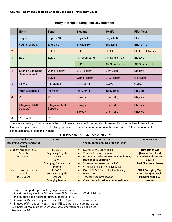<span id="page-8-0"></span>

|                | <b>Ninth</b>                      | <b>Tenth</b>                                   | <b>Eleventh</b>      | <b>Twelfth</b>   | <b>Fifth Year</b>        |
|----------------|-----------------------------------|------------------------------------------------|----------------------|------------------|--------------------------|
| $\mathbf{1}$   | English 9                         | English 10                                     | English 11           | English 12       | Elective                 |
|                | Found. Literacy                   | English 9                                      | English 10           | English 11       | English 12               |
| $\overline{2}$ | ELD <sub>1</sub>                  | ELD <sub>2</sub>                               | ELD <sub>3</sub>     | ELD <sub>4</sub> | <b>ELD 5 or Elective</b> |
| $\mathbf{3}$   | ELD <sub>1</sub>                  | ELD <sub>2</sub>                               | AP Span Lang.        | AP Spanish Lit   | Elective                 |
|                |                                   |                                                | SLD II <sup>1</sup>  | AP Span Lang.    | AP Spanish Lit           |
| $\overline{4}$ | Spanish Language<br>Development I | <b>World History</b>                           | U.S. History         | Gov/Econ         | Elective                 |
|                |                                   | $SLD$ $II2$                                    | <b>World History</b> | U.S. History     | Gov/Econ                 |
| 5              | Int.Math I                        | Int. Math II                                   | Int. Math III        | PreCalc          | <b>VAPA</b>              |
|                | <b>Math Essentials</b>            | Int.Math I                                     | Int. Math II         | Int. Math III    | PreCalc                  |
| $6\phantom{1}$ | PF <sup>3</sup>                   | <b>PE</b>                                      | <b>Biology</b>       | Chemistry        | <b>Physics</b>           |
|                | <b>Integrated Math</b>            | <b>Integrated Math</b><br>Support <sup>5</sup> | <b>Biology</b>       | Chemistry        | <b>Physics</b>           |
|                | Support <sup>4</sup>              |                                                | <b>Biology</b>       | Chemistry        | <b>Physics</b>           |
| $\mathbf 0$    | PE/Health                         | <b>PE</b>                                      |                      |                  |                          |

#### **Entry at English Language Development 1**

There are a variety of permutations that would work for students' schedules; however, this is an outline to work from. Every attempt is made to avoid doubling up course in the same content area in the same year. All permutations of scheduling should keep this in mind.

#### **ELD Placement Guidelines 2020-2021**

| <b>US School Entry</b><br>(assuming entry at Emerging<br>Level) | <b>ELPAC</b>                                                                                            | <b>Other factors</b><br>*needs three or more of the criteria <sup>6</sup>                                                                                                                                              | <b>PLACEMENT</b>                                                                                                             |
|-----------------------------------------------------------------|---------------------------------------------------------------------------------------------------------|------------------------------------------------------------------------------------------------------------------------------------------------------------------------------------------------------------------------|------------------------------------------------------------------------------------------------------------------------------|
| Student has been in US<br><b>Schools</b><br>$0-1.5$ years       | ELPAC <sub>1</sub><br><b>Beginning English</b><br>Learner<br>Early<br>Emerging/Foundationa<br>l Learner | • Overall ELPAC Score of a 1<br><b>Teacher Recommendation</b><br>Inconsistent education up to enrollment;<br>large gaps in education<br>Scores a 2 or lower on the LAS<br>Writing sample in home language<br>$\bullet$ | <b>Newcomer ELD</b><br>(Two period block)<br><b>Foundational Literacy</b><br><b>Course</b><br><b>Backfilled core classes</b> |
| Student has been in US<br><b>Schools</b><br>$0-1.5$ years       | ELPAC <sub>1</sub><br><b>Beginning English</b><br>Learner<br><b>Emerging Learner</b>                    | Overall ELPAC Score of a 1 with a high<br>$\bullet$<br>scale score <sup>7</sup><br><b>Teacher Recommendation</b><br>$\bullet$<br><b>Consistent education up to enrollment</b><br>$\bullet$                             | <b>ELD 1:Emerging (Two</b><br>period block) and English<br>9 backfill with ELD<br>teacher                                    |

<sup>&</sup>lt;sup>1</sup> If student skipped a year of language development

<sup>&</sup>lt;sup>2</sup> If the student agrees to a 5th year, take SLD II instead of World History

<sup>&</sup>lt;sup>3</sup> If the student does not need math support take PE

<sup>&</sup>lt;sup>4</sup> If in need of IMI support year 1, push PE to 0 period or summer school

<sup>&</sup>lt;sup>5</sup> If in need of IMI support year 1, push PE to 0 period or summer school

<sup>6</sup> Use Initial ELPAC as sole criteria when a newcomer student is being placed

<sup>7</sup> See footnote #6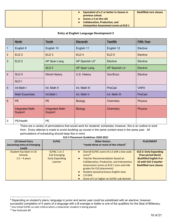|  | <b>Equivalent of a C or better in classes in</b><br>previous school.<br>Scores a 3 on the LAS | <b>Backfilled core classes</b> |
|--|-----------------------------------------------------------------------------------------------|--------------------------------|
|  | <b>Collaborative, Productive, and</b><br>Interpretive Assessment scores at ELD 1              |                                |

#### **Entry at English Language Development 2**

<span id="page-9-0"></span>

|                | <b>Ninth</b>                      | <b>Tenth</b>                      | <b>Eleventh</b>             | <b>Twelfth</b>   | <b>Fifth Year</b> |
|----------------|-----------------------------------|-----------------------------------|-----------------------------|------------------|-------------------|
| 1              | English 9                         | English 10                        | English 11                  | English 12       | Elective          |
| 2 <sup>2</sup> | ELD <sub>2</sub>                  | ELD <sub>3</sub>                  | ELD <sub>4</sub>            | ELD <sub>5</sub> | <b>Elective</b>   |
| $\mathbf{3}$   | ELD <sub>2</sub>                  | AP Span Lang.                     | AP Spanish Lit <sup>8</sup> | Elective         | Elective          |
|                |                                   | <b>SLD II</b>                     | AP Span Lang.               | AP Spanish Lit   | Elective          |
| $\overline{4}$ | <b>SLD II</b>                     | <b>World History</b>              | U.S. History                | Gov/Econ         | Elective          |
|                | SLD <sub>I</sub>                  |                                   |                             |                  |                   |
| 5              | Int.Math I                        | Int. Math II                      | Int. Math III               | PreCalc          | <b>VAPA</b>       |
|                | <b>Math Essentials</b>            | Int.Math I                        | Int. Math II                | Int. Math III    | <b>PreCalc</b>    |
| $6\phantom{1}$ | <b>PE</b>                         | <b>PE</b>                         | <b>Biology</b>              | Chemistry        | <b>Physics</b>    |
|                | <b>Integrated Math</b><br>Support | <b>Integrated Math</b><br>Support | <b>Biology</b>              | Chemistry        | <b>Physics</b>    |
| 0              | PE/Health                         | PE                                |                             |                  |                   |

There are a variety of permutations that would work for students' schedules; however, this is an outline to work from. Every attempt is made to avoid doubling up course in the same content area in the same year. All permutations of scheduling should keep this in mind.

| <b>US School Entry</b><br>(assuming entry at Emerging<br>Level) | <b>ELPAC</b>                                                              | <b>Other factors</b><br>*needs three or more of the criteria <sup>9</sup>                                                                                                                                                                                                                                                                                        | <b>PLACEMENT</b>                                                                                                                                 |
|-----------------------------------------------------------------|---------------------------------------------------------------------------|------------------------------------------------------------------------------------------------------------------------------------------------------------------------------------------------------------------------------------------------------------------------------------------------------------------------------------------------------------------|--------------------------------------------------------------------------------------------------------------------------------------------------|
| Student has been in US<br><b>Schools</b><br>$1.5 - 4$ years     | ELPAC 1 or 2<br><b>Exit Emerging</b><br><b>Early Expanding</b><br>Learner | Overall ELPAC score of a 2 with a low scale<br>$\bullet$<br>score <sup>10</sup><br><b>Teacher Recommendation based on</b><br>$\bullet$<br>Collaborative, Productive, and Interpretive<br>Assessment scores at ELD 1 (can override<br>grades for ELD placement)<br>Student passed previous English class<br>$2.0$ GPA<br>Score of 2 or higher on ELPAC sub domain | <b>ELD 2: Early Expanding</b><br>(Two period block)<br><b>Backfilled English 9 or</b><br>10 with ELD 2 teacher<br><b>Backfilled core classes</b> |

<sup>&</sup>lt;sup>8</sup> Depending on student's plans, language in junior and senior year could be substituted with an elective; however,

successful completion of 4 years of a language with a B average or better is one of the qualifiers for the Seal of Biliteracy. <sup>9</sup> Use Initial ELPAC as sole criteria when a newcomer student is being placed

<sup>&</sup>lt;sup>10</sup> See footnote #9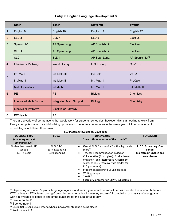#### **Entry at English Language Development 3**

<span id="page-10-0"></span>

|                | <b>Ninth</b>                   | <b>Tenth</b>                   | <b>Eleventh</b>              | <b>Twelfth</b>               |
|----------------|--------------------------------|--------------------------------|------------------------------|------------------------------|
| $\mathbf{1}$   | English 9                      | English 10                     | English 11                   | English 12                   |
| $\overline{2}$ | ELD <sub>3</sub>               | ELD <sub>4</sub>               | ELD <sub>5</sub>             | Elective                     |
| 3              | Spanish IV                     | AP Span Lang.                  | AP Spanish Lit <sup>11</sup> | Elective                     |
|                | <b>SLD II</b>                  | AP Span Lang.                  | AP Spanish Lit <sup>12</sup> | Elective                     |
|                | <b>SLD I</b>                   | <b>SLD II</b>                  | AP Span Lang.                | AP Spanish Lit <sup>13</sup> |
| 4              | Elective or Pathway            | <b>World History</b>           | U.S. History                 | Gov/Econ                     |
|                | Int. Math II                   | Int. Math III                  | PreCalc                      | <b>VAPA</b>                  |
| 5              | Int.Math I                     | Int. Math II                   | Int. Math III                | PreCalc                      |
|                | <b>Math Essentials</b>         | Int.Math I                     | Int. Math II                 | Int. Math III                |
| 6              | <b>PE</b>                      | <b>PE</b>                      | <b>Biology</b>               | Chemistry                    |
|                | <b>Integrated Math Support</b> | <b>Integrated Math Support</b> | <b>Biology</b>               | Chemistry                    |
|                | <b>Elective or Pathway</b>     | <b>Elective or Pathway</b>     |                              |                              |
| $\mathbf{0}$   | PE/Health                      | <b>PE</b>                      |                              |                              |

There are a variety of permutations that would work for students' schedules; however, this is an outline to work from. Every attempt is made to avoid doubling up course in the same content area in the same year. All permutations of scheduling should keep this in mind.

#### **ELD Placement Guidelines 2020-2021**

| <b>US School Entry</b><br>(assuming entry at<br><b>Emerging Level)</b> | <b>ELPAC</b>                                   | <b>Other factors</b><br>*needs three or more of the criteria <sup>14</sup>                                                                                                                                                                                                                                                                                                                     | <b>PLACEMENT</b>                                                                         |
|------------------------------------------------------------------------|------------------------------------------------|------------------------------------------------------------------------------------------------------------------------------------------------------------------------------------------------------------------------------------------------------------------------------------------------------------------------------------------------------------------------------------------------|------------------------------------------------------------------------------------------|
| Student has been in US<br><b>Schools</b><br>$1.5 - 4$ years            | ELPAC 1-3<br>Early Expanding<br>Exit Expanding | Overall ELPAC score of a 2 with a high scale<br>$\bullet$<br>score <sup>15</sup><br>Teacher Recommendation based on<br>Collaborative (4 or higher), Productive (4<br>or higher), and Interpretive Assessment<br>scores at ELD 2 (can override grades for<br>ELD placement)<br>Student passed previous English class<br>Writing sample<br>$2.0$ GPA<br>Score of 2 or higher on ELPAC sub domain | <b>ELD 3: Expanding (One</b><br>period)<br><b>Mainstream English and</b><br>core classes |

<sup>&</sup>lt;sup>11</sup> Depending on student's plans, language in junior and senior year could be substituted with an elective or contribute to a CTE pathway if PE is taken during 0 period or summer school however, successful completion of 4 years of a language with a B average or better is one of the qualifiers for the Seal of Biliteracy.

<sup>&</sup>lt;sup>12</sup> See footnote 11

<sup>&</sup>lt;sup>13</sup> See footnote 11

<sup>&</sup>lt;sup>14</sup> Use Initial ELPAC as sole criteria when a newcomer student is being placed

<sup>15</sup> See footnote #14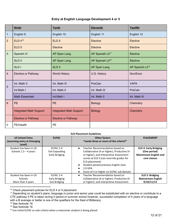#### **Entry at English Language Development 4 or 5**

<span id="page-11-0"></span>

|                | <b>Ninth</b>                   | <b>Tenth</b>                   | <b>Eleventh</b>              | <b>Twelfth</b>               |
|----------------|--------------------------------|--------------------------------|------------------------------|------------------------------|
| $\mathbf{1}$   | English 9                      | English 10                     | English 11                   | English 12                   |
| $\overline{2}$ | ELD 4 <sup>16</sup>            | ELD <sub>5</sub>               | Elective                     | Elective                     |
|                | ELD <sub>5</sub>               | Elective                       | Elective                     | Elective                     |
| $\overline{3}$ | Spanish IV                     | AP Span Lang.                  | AP Spanish Lit <sup>17</sup> | Elective                     |
|                | <b>SLD II</b>                  | AP Span Lang.                  | AP Spanish Lit <sup>18</sup> | Elective                     |
|                | SLD <sub>I</sub>               | <b>SLD II</b>                  | AP Span Lang.                | AP Spanish Lit <sup>19</sup> |
| $\overline{4}$ | Elective or Pathway            | <b>World History</b>           | U.S. History                 | Gov/Econ                     |
|                | Int. Math II                   | Int. Math III                  | PreCalc                      | <b>VAPA</b>                  |
| 5              | Int.Math I                     | Int. Math II                   | Int. Math III                | PreCalc                      |
|                | <b>Math Essentials</b>         | Int.Math I                     | Int. Math II                 | Int. Math III                |
| $6\phantom{a}$ | <b>PE</b>                      | <b>PE</b>                      | <b>Biology</b>               | Chemistry                    |
|                | <b>Integrated Math Support</b> | <b>Integrated Math Support</b> | <b>Biology</b>               | Chemistry                    |
|                | <b>Elective or Pathway</b>     | <b>Elective or Pathway</b>     |                              |                              |
| 0              | PE/Health                      | <b>PE</b>                      |                              |                              |

#### **ELD Placement Guidelines**

| <b>US School Entry</b><br>(assuming entry at Emerging<br>Level) | <b>ELPAC</b>                                                           | <b>Other factors</b><br>*needs three or more of the criteria <sup>20</sup>                                                                                                                                                                                                                            | <b>PLACEMENT</b>                                                                              |
|-----------------------------------------------------------------|------------------------------------------------------------------------|-------------------------------------------------------------------------------------------------------------------------------------------------------------------------------------------------------------------------------------------------------------------------------------------------------|-----------------------------------------------------------------------------------------------|
| Student has been in US<br>Schools $1.5 - 4$ years               | ELPAC <sub>2-4</sub><br><b>Exit Expanding</b><br><b>Early Bridging</b> | Teacher Recommendation based on<br>$\bullet$<br>Collaborative (4 or higher), Productive (4<br>or higher), and Interpretive Assessment<br>scores at ELD 3 (can override grades for<br>ELD placement)<br>Student passed previous English class<br>$2.0$ GPA<br>Score of 3 or higher on ELPAC sub domain | <b>ELD 4: Early Bridging</b><br>(One period)<br><b>Mainstream English and</b><br>core classes |
| Student has been in US                                          | ELPAC 2-4                                                              | Teacher Recommendation based on<br>$\bullet$                                                                                                                                                                                                                                                          | <b>ELD 5: Bridging</b>                                                                        |
| <b>Schools</b>                                                  | <b>Early Bridging</b>                                                  | Collaborative (4 or higher), Productive (4                                                                                                                                                                                                                                                            | <b>Mainstream English</b>                                                                     |
| More than 4 years                                               | <b>Exit Bridging</b>                                                   | or higher), and Interpretive Assessment                                                                                                                                                                                                                                                               | 9/10/11/12                                                                                    |

<sup>16</sup> Check placement policies for ELD 4 or 5 placement

<sup>17</sup> Depending on student's plans, language in junior and senior year could be substituted with an elective or contribute to a CTE pathway if PE is taken during 0 period or summer school however, successful completion of 4 years of a language with a B average or better is one of the qualifiers for the Seal of Biliteracy.

<sup>18</sup> See footnote 16

<sup>&</sup>lt;sup>19</sup> See footnote 16

<sup>&</sup>lt;sup>20</sup> Use Initial ELPAC as sole criteria when a newcomer student is being placed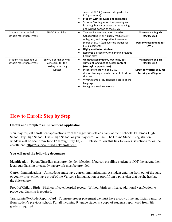|                                                      |                                                                               | scores at ELD 4 (can override grades for<br>ELD placement)<br>Student with language and skills gaps<br>Scores a 3 or higher on the speaking and<br>listening, but a 2 or lower on the reading<br>and writing portion of the ELPAC                                                                           |                                                                                                            |
|------------------------------------------------------|-------------------------------------------------------------------------------|-------------------------------------------------------------------------------------------------------------------------------------------------------------------------------------------------------------------------------------------------------------------------------------------------------------|------------------------------------------------------------------------------------------------------------|
| Student has attended US<br>schools more than 4 years | ELPAC 3 or higher                                                             | Teacher Recommendation based on<br>$\bullet$<br>Collaborative (4 or higher), Productive (4<br>or higher), and Interpretive Assessment<br>scores at ELD 4 (can override grades for<br>ELD placement)<br><b>Highly motivated student</b><br>Received a grade of C or higher in previous<br>English class      | <b>Mainstream English</b><br>9/10/11/12<br><b>Possibly recommend for</b><br><b>AVID</b>                    |
| Student has attended US<br>schools more than 4 years | ELPAC 3 or higher with<br>low scores for the<br>reading or writing<br>subtest | Unmotivated student, low skills, but<br>$\bullet$<br>sufficient language to access content<br>(strategic support class)<br>Inconsistent growth on ELPAC<br>demonstrating a possible lack of effort on<br>the test<br>Writing sample: student has a grasp of the<br>language<br>Low grade level lexile score | <b>Mainstream English</b><br>9/10/11/12<br><b>Direct to Warrior Way for</b><br><b>Tutoring and Support</b> |

## <span id="page-12-0"></span>**How to Enroll: Step by Step**

#### **Obtain and Complete an Enrollment Application**

You may request enrollment applications from the registrar's office at any of the 3 schools: Fallbrook High School, Ivy High School, Oasis High School or you may enroll online. The Online Student Registration window will be open from June 12 through July 18, 2017. Please follow this link to view instructions for online enrollment:<https://psportal.fuhsd.net/enrollment/>

#### **You will need the following documents:**

Identification - Parent/Guardian must provide identification. If person enrolling student is NOT the parent, then legal guardianship or custody paperwork must be provided.

Current Immunizations - All students must have current immunizations. A student entering from out of the state or county must either have proof of the Varicella Immunization or proof from a physician that he/she has had the chicken pox.

Proof of Child's Birth - Birth certificate, hospital record - Without birth certificate, additional verification to prove guardianship is required.

Transcripts/8<sup>th</sup> Grade Report Card - To insure proper placement we must have a copy of the unofficial transcript from student's previous school. For all incoming 9<sup>th</sup> grade students a copy of student's report card from 8th grade is required.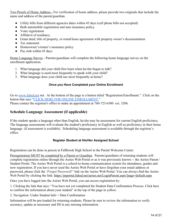Two Proofs of Home Address - For verification of home address, please provide two originals that include the name and address of the parent/guardian.

- Utility bills from different agencies dates within 45 days (cell phone bills not accepted)
- Both automobile registration and auto insurance policy.
- Voter registration
- Affidavit of residency
- Grant deed, title of property, or rental/lease agreement with property owner's documentation
- Tax statement
- Homeowner's/renter's insurance policy
- Pay stub within 45 days

Home Language Survey - Parents/guardians will complete the following home language survey on the enrollment application.

- 1. What language did your child first learn when he/she began to talk?
- 2. What language is used most frequently to speak with your child?
- <span id="page-13-0"></span>3. What language does your child use most frequently at home?

#### **Once you Have Completed your Online Enrollment**

Go to [www.fuhsd.net](http://www.fuhsd.net/) net. At the bottom of the page is a button titled "Registration/Enrollment." Click on the button that says "[CLICK HERE FOR ONLINE ENROLLMENT.](https://psportal.fuhsd.net/enrollment/Default.aspx)" Please contact the registrar's office to make an appointment at 760-723-6300 ext. 3206.

#### **Schedule Language Assessment (if applicable)**

If the student speaks a language other than English, he/she may be assessment for current English proficiency. The language assessments will evaluate the student's proficiency in English as well as proficiency in their home language (if assessment is available). Scheduling language assessment is available through the registrar's office.

#### **Register Student at His/Her Assigned School**

<span id="page-13-1"></span>Registration can be done in person at Fallbrook High School in the Parent Welcome Center.

Preregistration MUST be completed by a Parent or Guardian. Parents/guardians of returning students will complete registration online through the Aeries Web Portal or as it was previously known -- the Aeries Parent / Student Portal. The Aeries Web Portal is a school-to-home communication system for attendance, grades and now registration. If you have never used the Aeries Web Portal or have forgotten your email address or password, please click the *'Forgot Password?'* link on the Aeries Web Portal. You can always find the Aeries Web Portal by clicking the link: <https://psportal.fuhsd.net/aeries.net/LoginParent.aspx?page=default.aspx>

Once you have logged into the Aeries Web Portal, you can access registration by:

1. Clicking the link that says: "You have not yet completed the Student Data Confirmation Process. Click here to confirm the information about your student" at the top of the page in yellow.

2. Navigation: Under Student Info > Data Confirmation

Information will be pre-loaded for returning students. Please be sure to review the information to verify accuracy, update as necessary and fill in any missing information.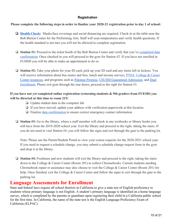#### **Registration**

#### <span id="page-14-0"></span>**Please complete the following steps in order to finalize your 2020-21 registration prior to day 1 of school:**

- ❏ **[Health Check](https://docs.google.com/document/d/1siGh5KPbFeauib8NJMTCtj-kmuoYfARCoqQI-S14A14/edit?usp=sharing):** Masks/face coverings and social distancing are required. Check-in at the table near the Bob Burton Center for the Performing Arts. Staff will scan temperatures and verify health questions. If the health standard is not met you will not be allowed to complete registration.
- ❏ **Station #1:** Proceed to the ticket booth of the Bob Burton Center and verify that you've [completed data](https://drive.google.com/file/d/0B38RZLSFrjGWTk1RMzNkUG9USUhyNE9kOVpqZ041RlI3aDRR/view?usp=sharing) [confirmation.](https://drive.google.com/file/d/0B38RZLSFrjGWTk1RMzNkUG9USUhyNE9kOVpqZ041RlI3aDRR/view?usp=sharing) Once checked in you will proceed to the gym for Station #2. If you have not enrolled in FUHSD you will be able to make an appointment to do so.
- ❏ **Station #2:** Take your photo for your ID card; pick up your ID card and any items left in lockers. You will receive information about bus routes and fees, lunch and income surveys, **[PTSA](https://drive.google.com/file/d/1LUcwNvSZp3VhLB6IUZXY2jSrUputem1O/view?usp=sharing)**, [College & Career](https://drive.google.com/file/d/13o3oSYc0gymnzto9dsLakGXOgtqSrIrw/view?usp=sharing) [Center resources](https://drive.google.com/file/d/13o3oSYc0gymnzto9dsLakGXOgtqSrIrw/view?usp=sharing), and programs such as [Palomar Promise](https://drive.google.com/file/d/1ThNU-fw0zJKjlAlwTxRTiS443XnxEUiR/view?usp=sharing), [CSUSM Guaranteed Admission](https://drive.google.com/file/d/1unJCu6TB86KnKjJfeJJFWysES8v0nJct/view?usp=sharing), and [Dual](https://drive.google.com/file/d/1u7K54Km54xST6dpQ0YleUkbIehsfkd75/view?usp=sharing) [Enrollment.](https://drive.google.com/file/d/1u7K54Km54xST6dpQ0YleUkbIehsfkd75/view?usp=sharing) Please exit gym through the rear doors; proceed to the right for Station #3.

#### **If you have not yet completed online registration (returning students & 9th graders from FUESD) you will be directed at this time to room 215:**

- ❏ Update student data in the computer lab
- ❏ If you have moved, update your address with verification paperwork at this location
- ❏ Finalize [data confirmation](https://drive.google.com/file/d/0B38RZLSFrjGWTk1RMzNkUG9USUhyNE9kOVpqZ041RlI3aDRR/view?usp=sharing) to ensure correct emergency contact information
- ❏ **Station #3:** Go to the library, where a staff member will check in any textbooks or library books you still have from the 2019-2020 school year. Exit the library and proceed to the right, taking the stairs. If you do not need to visit Station #4, you will follow the signs and exit through the gate to the parking lot.

Note: Please use the Parent/Student Portal to view your course requests for the 2020-2021 school year. If you need to request a schedule change, you may submit a schedule change request form in the gym and drop it at the library.

❏ **Station #4:** Freshmen and new students will exit the library and proceed to the right, taking the stairs down to the College & Career Center (Room 201) to collect Chromebooks. Current students needing Chromebook repair or assistance may also choose to visit the College & Career Center (Room 201) for help. Once finished, exit the College & Career Center and follow the signs to exit through the gate to the parking lot.

## **Language Assessments for Enrollment**

State and federal laws require all school districts in California to give a state test of English proficiency to students whose primary language is not English. A student's primary language is identified on a home language survey, which is completed by the parents or guardians upon registering their child in a California public school for the first time. In California, the name of the state test is the English Language Proficiency Exam of California (ELPAC).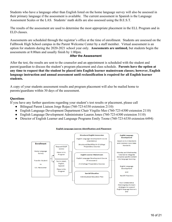Students who have a language other than English listed on the home language survey will also be assessed in their primary language if the assessment is available. The current assessment in Spanish is the Language Assessment Scales or the LAS. Students' math skills are also assessed using the B.E.S.T.

The results of the assessment are used to determine the most appropriate placement in the ELL Program and in ELD classes.

Assessments are scheduled through the registrar's office at the time of enrollment. Students are assessed on the Fallbrook High School campus in the Parent Welcome Center by a staff member. Virtual assessment is an option for students during the 2020-2021 school year only. **Assessments are untimed,** but students begin the assessments at 8:00am and usually finish by 1:00pm.

#### **After the Assessment**

<span id="page-15-0"></span>After the test, the results are sent to the counselor and an appointment is scheduled with the student and parent/guardian to discuss the student's program placement and class schedule. **Parents have the option at any time to request that the student be placed into English learner mainstream classes; however, English language instruction and annual assessment until reclassification is required for all English learner students.**

A copy of your students assessment results and program placement will also be mailed home to parents/guardians within 30 days of the assessment.

#### **Questions**

If you have any further questions regarding your student's test results or placement, please call

- Bilingual Parent Liaison Jorge Rojas (760-723-6330 extension 2110)
- English Language Development Department Chair Virgilio Meo (760-723-6300 extension 2110)
- English Language Development Administrator Lauren Jones (760-723-6300 extension 3110)
- Director of English Learner and Language Programs Emily Toone (760-723-6330 extension 6494)



#### **English Language Learner Identification and Placement**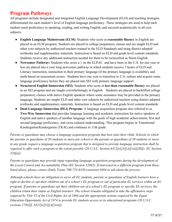## <span id="page-16-0"></span>**Program Pathways**

All programs include designated and integrated English Language Development (ELD) and teaching strategies differentiated for each student's level of English language proficiency. These strategies are used to help each student reach proficiency in speaking, reading, and writing English, and succeed academically in all core subjects.

- **English Language Mainstream (ELM)**: Students who score at **reasonable fluency** in English are placed in an ELM program. Students are placed in college preparatory classes and are taught ELD and other core subjects by authorized teachers trained in the ELD Standards and using district adopted textbooks and supplementary materials. Instruction is based on ELD and grade level content standards. Students receive any additional instruction needed for them to be reclassified as fluent English.
- **Newcomer Pathway:** Students who score a 1 on the ELPAC and have been in the U.S. for one year or less are placed into a year long newcomer pathway in which students receive 3 hours of ELD and Literacy instruction, instruction in their primary language (if the primary language is available), and math based on assessment scores. Students have one year to transition to U.S. culture and acquire some language proficiency before they are placed into SEI with primary language support.
- **Structured English Immersion (SEI)**: Students who score at **less than reasonable fluency** are placed in an SEI program and are taught overwhelmingly in English. Students are placed in backfilled college preparatory classes with native English speakers where some assistance may be provided in the primary language. Students are taught ELD and other core subjects by authorized teachers using district adopted textbooks and supplementary materials. Instruction is based on ELD and grade level content standards
- **Dual-Language Immersion (DLI) Program:** A language acquisition program also referred to as **Two-Way Immersion** that provides language learning and academic instruction for native speakers of English and native speakers of another language with the goals of high academic achievement, first and second language proficiency, and cross-cultural understanding. This program begins in Transitional Kindergarten/Kindergarten (TK/K) and continues to 11th grade.

*Parents or guardians may choose a language acquisition program that best suits their child. Schools in which the parents or guardians of 30 students or more per school or the parents or guardians of 20 students or more in any grade request a language acquisition program that is designed to provide language instruction shall be required to offer such a program to the extent possible (20 U.S.C. Section 6312[e][3][A][viii][III]); EC Section 310[a]).*

*Parents or guardians may provide input regarding language acquisition programs during the development of the Local Control and Accountability Plan (EC Section 52062). If interested in a different program from those listed above, please contact Emily Toone 760-723-6330 extension 6494 to ask about the process.*

*Although schools have an obligation to serve all EL students, parents or guardians of English learners have a right to decline or opt their children out of a school's EL program or out of particular EL services within an EL program. If parents or guardians opt their children out of a school's EL program or specific EL services, the children retain their status as English learners. The school remains obligated to take the affirmative steps required by Title VI of the Civil Rights Act of 1964 and the appropriate actions required by the Equal Education Opportunity Act of 1974 to provide EL students access to its educational programs (20 U.S.C. sections 1703[f], 6312[e][3][A][viii]).*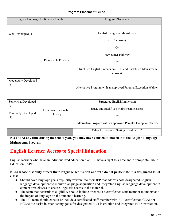#### **Program Placement Guide**

<span id="page-17-0"></span>

| English Language Proficiency Levels                     |                                 | Program Placement                                                                                                                                                                                                                                        |  |
|---------------------------------------------------------|---------------------------------|----------------------------------------------------------------------------------------------------------------------------------------------------------------------------------------------------------------------------------------------------------|--|
| Well Developed (4)<br>Moderately Developed<br>(3)       | Reasonable Fluency              | English Language Mainstream<br>(ELD classes)<br><b>Or</b><br>Newcomer Pathway<br><sub>or</sub><br>Structured English Immersion (ELD and Backfilled Mainstream<br>classes)<br><b>or</b><br>Alternative Program with an approved Parental Exception Waiver |  |
| Somewhat Developed<br>(2)<br>Minimally Developed<br>(1) | Less than Reasonable<br>Fluency | Structured English Immersion<br>(ELD and Backfilled Mainstream classes)<br>or<br>Alternative Program with an approved Parental Exception Waiver                                                                                                          |  |
|                                                         |                                 | Other Instructional Setting based on IEP                                                                                                                                                                                                                 |  |

**NOTE: At any time during the school year, you may have your child moved into the English Language Mainstream Program**.

## <span id="page-17-1"></span>**English Learner Access to Special Education**

English learners who have an individualized education plan IEP have a right to a Free and Appropriate Public Education FAPE.

#### **ELLs whose disability affects their language acquisition and who do not participate in a designated ELD class:**

- Should have language goals explicitly written into their IEP that address both designated English language development to monitor language acquisition and integrated English language development in content area classes to ensure linguistic access to the material.
- The team that determines eligibility should include or consult a certificated staff member to understand the impact of language on the student's learning.
- The IEP team should consult or include a certificated staff member with ELL certification CLAD or BCLAD to assist in establishing goals for designated ELD instruction and integrated ELD instruction.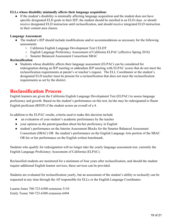#### **ELLs whose disability minimally affects their language acquisition:**

● If the student's disability is minimally affecting language acquisition and the student does not have specific designated ELD goals in their IEP, the student should be enrolled in an ELD class or should receive designated ELD instruction until reclassification, and should receive integrated ELD instruction in their content area classes.

#### **Language Assessment**

- The student's IEP should include modifications and/or accommodations as necessary for the following assessments
	- California English Language Development Test CELDT
	- English Language Proficiency Assessment of California ELPAC (effective Spring 2018)
	- Smarter Balanced Assessment Consortium SBAC

#### **Reclassification**

● Students whose disability affects their language assessment (ELPAC) can be considered for redesignation during an IEP meeting or addendum IEP meeting with ELPAC scores that do not meet the reclassification requirements at parent's or teacher's request. The ELL Coordinator or the student's designated ELD teacher must be present for a reclassification that does not meet the reclassification requirements as set by the district.

## <span id="page-18-0"></span>**Reclassification Process**

English learners are given the California English Language Development Test (ELPAC) to assess language proficiency and growth. Based on the student's performance on this test, he/she may be redesignated to fluent English proficient (RFEP) if the student scores an overall of a 4.

In addition to the ELPAC results, criteria used to make this decision include

- an evaluation of your student's academic performance by the teacher
- your opinion as the parent/guardian about his/her proficiency in English
- student's performance on the Interim Assessment Blocks for the Smarter Balanced Assessment Consortium (SBAC) OR the student's performance on the English Language Arts portion of the SBAC OR his or her performance on the English written benchmark.

Students who qualify for redesignation will no longer take the yearly language assessment test, currently the English Language Proficiency Assessment of California (ELPAC).

Reclassified students are monitored for a minimum of four years after reclassification, and should the student require additional English learner services, these services can be provided.

Students are evaluated for reclassification yearly, but an assessment of the student's ability to reclassify can be requested at any time through the AP responsible for ELLs or the English Language Coordinator.

Lauren Jones 760-723-6300 extension 3110 Emily Toone 760-723-6300 extension 6494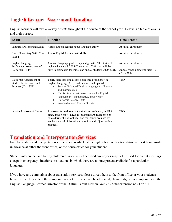## <span id="page-19-0"></span>**English Learner Assessment Timeline**

English learners will take a variety of tests throughout the course of the school year. Below is a table of exams and their purpose.

| <b>Exam</b>                                                              | <b>Function</b>                                                                                                                                                                                                                                                                                                                                             | <b>Time Frame</b>                                                      |
|--------------------------------------------------------------------------|-------------------------------------------------------------------------------------------------------------------------------------------------------------------------------------------------------------------------------------------------------------------------------------------------------------------------------------------------------------|------------------------------------------------------------------------|
| <b>Language Assessment Scales</b>                                        | Assess English learner home language ability                                                                                                                                                                                                                                                                                                                | At initial enrollment                                                  |
| Basic Elementary Skills Test<br>(BEST)                                   | Assess English learner math skills                                                                                                                                                                                                                                                                                                                          | At initial enrollment                                                  |
| English Language<br>Proficiency Assessment of<br>California (ELPAC)      | Assesses language proficiency and growth. This test will<br>replace the annual CELDT in spring of 2018 and will be<br>fully implemented for initial and annual students 2020-2021.                                                                                                                                                                          | At initial enrollment<br>Annually beginning February 1st<br>- May 30th |
| California Assessment of<br>Student Performance and<br>Progress (CAASPP) | Yearly state test(s) to assess a student's proficiency in<br>English Language Arts, math, science and Spanish<br>Smarter Balanced English language arts/literacy<br>and mathematics<br>California Alternate Assessments for English<br>$\bullet$<br>language arts, mathematics, and science<br>California Science Tests<br>Standards-based Tests in Spanish | <b>TBD</b>                                                             |
| Interim Assessment Blocks                                                | Assessments used to monitor students proficiency in ELA,<br>math, and science. These assessments are given once or<br>twice during the school year and the results are used by<br>teachers and administration to monitor and adjust teaching<br>practices.                                                                                                  | <b>TBD</b>                                                             |

## <span id="page-19-1"></span>**Translation and Interpretation Services**

Free translation and interpretation services are available at the high school with a translation request being made in advance at either the front office, or the house office for your student.

Student interpreters and family children or non-district certified employees may not be used for parent meetings except in emergency situations or situations in which there are no interpreters available for a particular language.

If you have any complaints about translation services, please direct them to the front office or your student's house office. If you feel the complaint has not been adequately addressed, please lodge your complaint with the English Language Learner Director or the District Parent Liaison 760-723-6300 extension 6494 or 2110